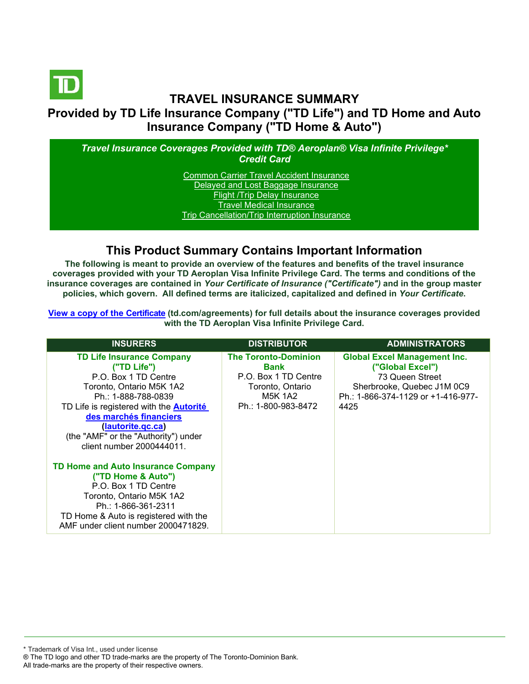

### **TRAVEL INSURANCE SUMMARY Provided by TD Life Insurance Company ("TD Life") and TD Home and Auto Insurance Company ("TD Home & Auto")**

*Travel Insurance Coverages Provided with TD® Aeroplan® Visa Infinite Privilege\* Credit Card*

> [Common Carrier Travel Accident Insurance](#page-3-0) [Delayed and Lost Baggage Insurance](#page-4-0) [Flight /Trip Delay Insurance](#page-5-0) [Travel Medical Insurance](#page-6-0) [Trip Cancellation/Trip Interruption Insurance](#page-7-0)

### **This Product Summary Contains Important Information**

**The following is meant to provide an overview of the features and benefits of the travel insurance coverages provided with your TD Aeroplan Visa Infinite Privilege Card. The terms and conditions of the insurance coverages are contained in** *Your Certificate of Insurance ("Certificate")* **and in the group master policies, which govern. All defined terms are italicized, capitalized and defined in** *Your Certificate***.**

**[View a copy of the Certificate](https://www.td.com/ca/en/personal-banking/how-to/manage-my-credit-card/getting-started/?tdtab=4) (td.com/agreements) for full details about the insurance coverages provided with the TD Aeroplan Visa Infinite Privilege Card.** 

| <b>INSURERS</b>                                                                                                                                                                                                                                                                                  | <b>DISTRIBUTOR</b>                                                                                                       | <b>ADMINISTRATORS</b>                                                                                                                                  |
|--------------------------------------------------------------------------------------------------------------------------------------------------------------------------------------------------------------------------------------------------------------------------------------------------|--------------------------------------------------------------------------------------------------------------------------|--------------------------------------------------------------------------------------------------------------------------------------------------------|
| <b>TD Life Insurance Company</b><br>("TD Life")<br>P.O. Box 1 TD Centre<br>Toronto, Ontario M5K 1A2<br>Ph.: 1-888-788-0839<br>TD Life is registered with the <b>Autorité</b><br>des marchés financiers<br>(lautorite.gc.ca)<br>(the "AMF" or the "Authority") under<br>client number 2000444011. | <b>The Toronto-Dominion</b><br>Bank<br>P.O. Box 1 TD Centre<br>Toronto, Ontario<br><b>M5K 1A2</b><br>Ph.: 1-800-983-8472 | <b>Global Excel Management Inc.</b><br>("Global Excel")<br>73 Queen Street<br>Sherbrooke, Quebec J1M 0C9<br>Ph.: 1-866-374-1129 or +1-416-977-<br>4425 |
| TD Home and Auto Insurance Company<br>("TD Home & Auto")<br>P.O. Box 1 TD Centre<br>Toronto, Ontario M5K 1A2<br>Ph.: 1-866-361-2311<br>TD Home & Auto is registered with the<br>AMF under client number 2000471829.                                                                              |                                                                                                                          |                                                                                                                                                        |

\* Trademark of Visa Int., used under license ® The TD logo and other TD trade-marks are the property of The Toronto-Dominion Bank.

All trade-marks are the property of their respective owners.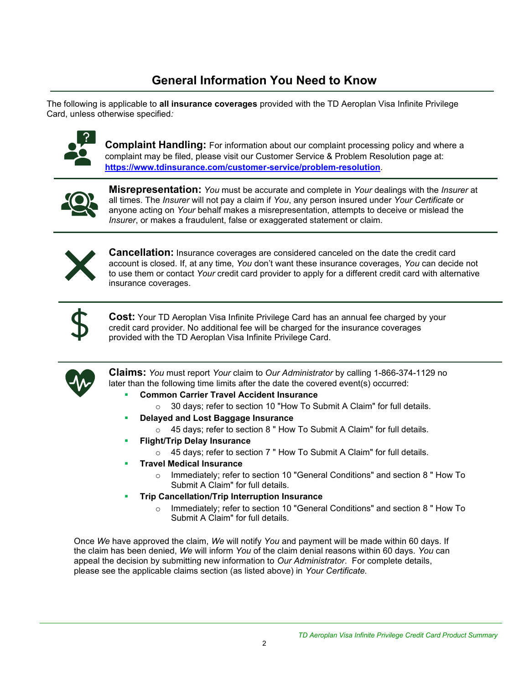# **General Information You Need to Know**

The following is applicable to **all insurance coverages** provided with the TD Aeroplan Visa Infinite Privilege Card, unless otherwise specified*:*



**Complaint Handling:** For information about our complaint processing policy and where a complaint may be filed, please visit our Customer Service & Problem Resolution page at: **<https://www.tdinsurance.com/customer-service/problem-resolution>**.



**Misrepresentation:** *You* must be accurate and complete in *Your* dealings with the *Insurer* at all times. The *Insurer* will not pay a claim if *You*, any person insured under *Your Certificate* or anyone acting on *Your* behalf makes a misrepresentation, attempts to deceive or mislead the *Insurer*, or makes a fraudulent, false or exaggerated statement or claim.



**Cancellation:** Insurance coverages are considered canceled on the date the credit card account is closed. If, at any time, *You* don't want these insurance coverages, *You* can decide not to use them or contact *Your* credit card provider to apply for a different credit card with alternative insurance coverages.



**Cost:** Your TD Aeroplan Visa Infinite Privilege Card has an annual fee charged by your credit card provider. No additional fee will be charged for the insurance coverages provided with the TD Aeroplan Visa Infinite Privilege Card.



**Claims:** *You* must report *Your* claim to *Our Administrator* by calling 1-866-374-1129 no later than the following time limits after the date the covered event(s) occurred:

- **Common Carrier Travel Accident Insurance** 
	- o 30 days; refer to section 10 "How To Submit A Claim" for full details.
- **Delayed and Lost Baggage Insurance** 
	- o 45 days; refer to section 8 " How To Submit A Claim" for full details.
- **Flight/Trip Delay Insurance** 
	- o 45 days; refer to section 7 " How To Submit A Claim" for full details.
- **Travel Medical Insurance** 
	- o Immediately; refer to section 10 "General Conditions" and section 8 " How To Submit A Claim" for full details.
- **Trip Cancellation/Trip Interruption Insurance** 
	- o Immediately; refer to section 10 "General Conditions" and section 8 " How To Submit A Claim" for full details.

Once *We* have approved the claim, *We* will notify *You* and payment will be made within 60 days. If the claim has been denied, *We* will inform *You* of the claim denial reasons within 60 days. *You* can appeal the decision by submitting new information to *Our Administrator*. For complete details, please see the applicable claims section (as listed above) in *Your Certificate.*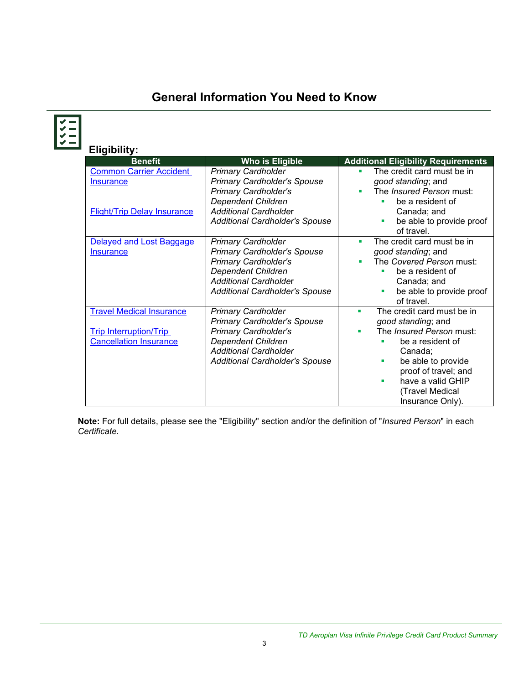# **General Information You Need to Know**

| <b>Eligibility:</b><br><b>Benefit</b>                                                             | <b>Who is Eligible</b>                                                                                                                                                                               | <b>Additional Eligibility Requirements</b>                                                                                                                                                                                                       |
|---------------------------------------------------------------------------------------------------|------------------------------------------------------------------------------------------------------------------------------------------------------------------------------------------------------|--------------------------------------------------------------------------------------------------------------------------------------------------------------------------------------------------------------------------------------------------|
| <b>Common Carrier Accident</b><br><b>Insurance</b><br><b>Flight/Trip Delay Insurance</b>          | <b>Primary Cardholder</b><br><b>Primary Cardholder's Spouse</b><br>Primary Cardholder's<br><b>Dependent Children</b><br><b>Additional Cardholder</b><br><b>Additional Cardholder's Spouse</b>        | The credit card must be in<br>good standing; and<br>The <i>Insured Person</i> must:<br>be a resident of<br>Canada; and<br>be able to provide proof<br>٠<br>of travel.                                                                            |
| Delayed and Lost Baggage<br><b>Insurance</b>                                                      | <b>Primary Cardholder</b><br><b>Primary Cardholder's Spouse</b><br>Primary Cardholder's<br><b>Dependent Children</b><br><b>Additional Cardholder</b><br>Additional Cardholder's Spouse               | The credit card must be in<br>٠<br>good standing; and<br>The Covered Person must:<br>be a resident of<br>Canada; and<br>be able to provide proof<br>of travel.                                                                                   |
| <b>Travel Medical Insurance</b><br><b>Trip Interruption/Trip</b><br><b>Cancellation Insurance</b> | <b>Primary Cardholder</b><br><b>Primary Cardholder's Spouse</b><br><b>Primary Cardholder's</b><br><b>Dependent Children</b><br><b>Additional Cardholder</b><br><b>Additional Cardholder's Spouse</b> | The credit card must be in<br>٠<br>good standing; and<br>The <i>Insured Person</i> must:<br>ш<br>be a resident of<br>Canada;<br>be able to provide<br>٠<br>proof of travel; and<br>have a valid GHIP<br>٠<br>(Travel Medical<br>Insurance Only). |

**Note:** For full details, please see the "Eligibility" section and/or the definition of "*Insured Person*" in each *Certificate*.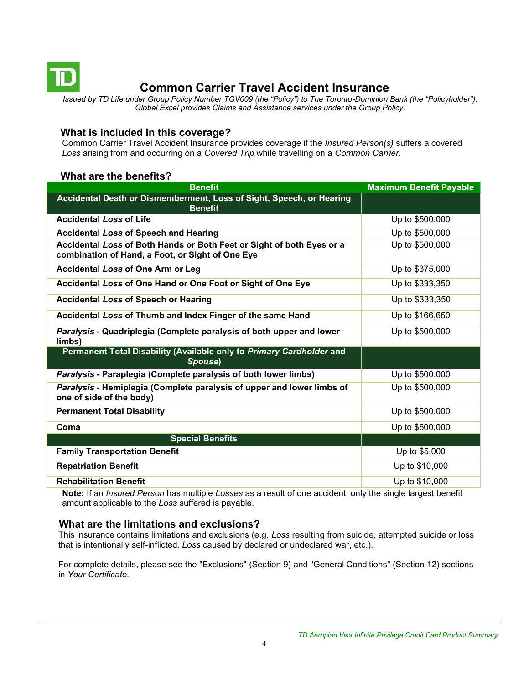<span id="page-3-0"></span>

## **Common Carrier Travel Accident Insurance**

*Issued by TD Life under Group Policy Number TGV009 (the "Policy") to The Toronto-Dominion Bank (the "Policyholder"). Global Excel provides Claims and Assistance services under the Group Policy.*

#### **What is included in this coverage?**

Common Carrier Travel Accident Insurance provides coverage if the *Insured Person(s)* suffers a covered *Loss* arising from and occurring on a *Covered Trip* while travelling on a *Common Carrier*.

#### **What are the benefits?**

| <b>Benefit</b>                                                                                                            | <b>Maximum Benefit Payable</b> |
|---------------------------------------------------------------------------------------------------------------------------|--------------------------------|
| Accidental Death or Dismemberment, Loss of Sight, Speech, or Hearing<br><b>Benefit</b>                                    |                                |
| <b>Accidental Loss of Life</b>                                                                                            | Up to \$500,000                |
| <b>Accidental Loss of Speech and Hearing</b>                                                                              | Up to \$500,000                |
| Accidental Loss of Both Hands or Both Feet or Sight of both Eyes or a<br>combination of Hand, a Foot, or Sight of One Eye | Up to \$500,000                |
| <b>Accidental Loss of One Arm or Leg</b>                                                                                  | Up to \$375,000                |
| Accidental Loss of One Hand or One Foot or Sight of One Eye                                                               | Up to \$333,350                |
| <b>Accidental Loss of Speech or Hearing</b>                                                                               | Up to \$333,350                |
| Accidental Loss of Thumb and Index Finger of the same Hand                                                                | Up to \$166,650                |
| Paralysis - Quadriplegia (Complete paralysis of both upper and lower<br>limbs)                                            | Up to \$500,000                |
| Permanent Total Disability (Available only to Primary Cardholder and<br>Spouse)                                           |                                |
| Paralysis - Paraplegia (Complete paralysis of both lower limbs)                                                           | Up to \$500,000                |
| Paralysis - Hemiplegia (Complete paralysis of upper and lower limbs of<br>one of side of the body)                        | Up to \$500,000                |
| <b>Permanent Total Disability</b>                                                                                         | Up to \$500,000                |
| Coma                                                                                                                      | Up to \$500,000                |
| <b>Special Benefits</b>                                                                                                   |                                |
| <b>Family Transportation Benefit</b>                                                                                      | Up to \$5,000                  |
| <b>Repatriation Benefit</b>                                                                                               | Up to \$10,000                 |
| <b>Rehabilitation Benefit</b>                                                                                             | Up to \$10,000                 |

**Note:** If an *Insured Person* has multiple *Losses* as a result of one accident, only the single largest benefit amount applicable to the *Loss* suffered is payable.

#### **What are the limitations and exclusions?**

This insurance contains limitations and exclusions (e.g. *Loss* resulting from suicide, attempted suicide or loss that is intentionally self-inflicted*, Loss* caused by declared or undeclared war, etc.).

For complete details, please see the "Exclusions" (Section 9) and "General Conditions" (Section 12) sections in *Your Certificate.*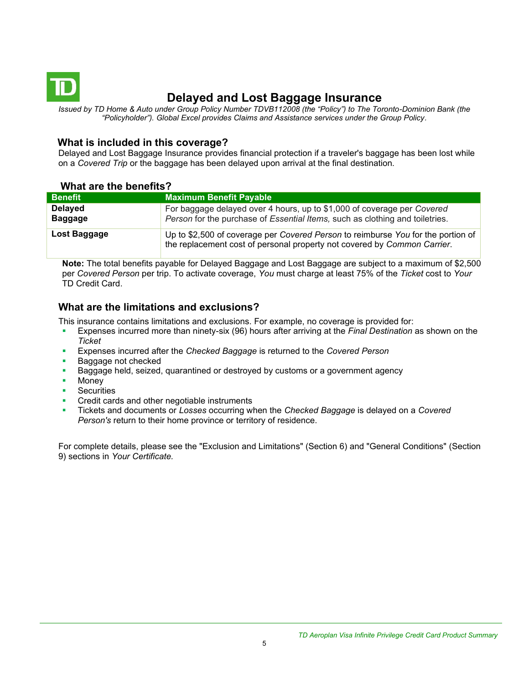<span id="page-4-0"></span>

## **Delayed and Lost Baggage Insurance**

*Issued by TD Home & Auto under Group Policy Number TDVB112008 (the "Policy") to The Toronto-Dominion Bank (the "Policyholder"). Global Excel provides Claims and Assistance services under the Group Policy.*

#### **What is included in this coverage?**

Delayed and Lost Baggage Insurance provides financial protection if a traveler's baggage has been lost while on a *Covered Trip* or the baggage has been delayed upon arrival at the final destination.

#### **What are the benefits?**

| <b>Benefit</b>                   | <b>Maximum Benefit Payable</b>                                                                                                                               |
|----------------------------------|--------------------------------------------------------------------------------------------------------------------------------------------------------------|
| <b>Delayed</b><br><b>Baggage</b> | For baggage delayed over 4 hours, up to \$1,000 of coverage per Covered<br>Person for the purchase of Essential Items, such as clothing and toiletries.      |
| Lost Baggage                     | Up to \$2,500 of coverage per Covered Person to reimburse You for the portion of<br>the replacement cost of personal property not covered by Common Carrier. |

**Note:** The total benefits payable for Delayed Baggage and Lost Baggage are subject to a maximum of \$2,500 per *Covered Person* per trip. To activate coverage, *You* must charge at least 75% of the *Ticket* cost to *Your*  TD Credit Card.

### **What are the limitations and exclusions?**

This insurance contains limitations and exclusions. For example, no coverage is provided for:

- Expenses incurred more than ninety-six (96) hours after arriving at the *Final Destination* as shown on the *Ticket*
- Expenses incurred after the *Checked Baggage* is returned to the *Covered Person*
- Baggage not checked
- Baggage held, seized, quarantined or destroyed by customs or a government agency
- **Money**
- **Securities**
- Credit cards and other negotiable instruments
- Tickets and documents or *Losses* occurring when the *Checked Baggage* is delayed on a *Covered Person's* return to their home province or territory of residence.

For complete details, please see the "Exclusion and Limitations" (Section 6) and "General Conditions" (Section 9) sections in *Your Certificate.*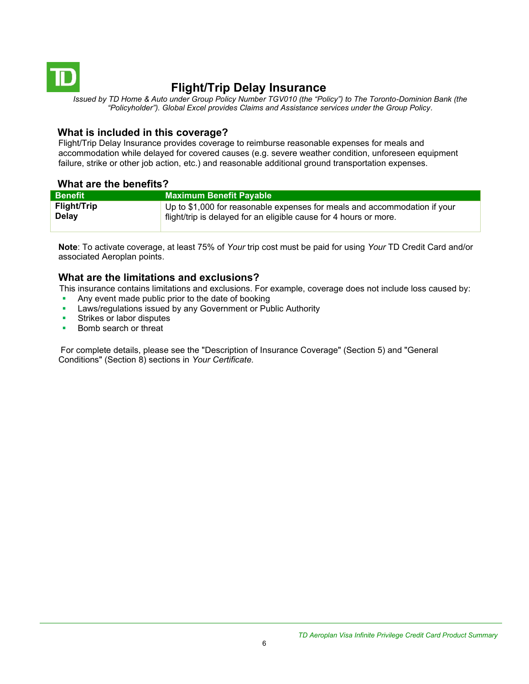<span id="page-5-0"></span>

## **Flight/Trip Delay Insurance**

*Issued by TD Home & Auto under Group Policy Number TGV010 (the "Policy") to The Toronto-Dominion Bank (the "Policyholder"). Global Excel provides Claims and Assistance services under the Group Policy.*

#### **What is included in this coverage?**

Flight/Trip Delay Insurance provides coverage to reimburse reasonable expenses for meals and accommodation while delayed for covered causes (e.g. severe weather condition, unforeseen equipment failure, strike or other job action, etc.) and reasonable additional ground transportation expenses.

### **What are the benefits?**

| <b>Benefit</b>     | <b>Maximum Benefit Payable</b>                                            |
|--------------------|---------------------------------------------------------------------------|
| <b>Flight/Trip</b> | Up to \$1,000 for reasonable expenses for meals and accommodation if your |
| <b>Delay</b>       | flight/trip is delayed for an eligible cause for 4 hours or more.         |

**Note**: To activate coverage, at least 75% of *Your* trip cost must be paid for using *Your* TD Credit Card and/or associated Aeroplan points.

#### **What are the limitations and exclusions?**

This insurance contains limitations and exclusions. For example, coverage does not include loss caused by:

- Any event made public prior to the date of booking
- Laws/regulations issued by any Government or Public Authority
- Strikes or labor disputes
- Bomb search or threat

For complete details, please see the "Description of Insurance Coverage" (Section 5) and "General Conditions" (Section 8) sections in *Your Certificate.*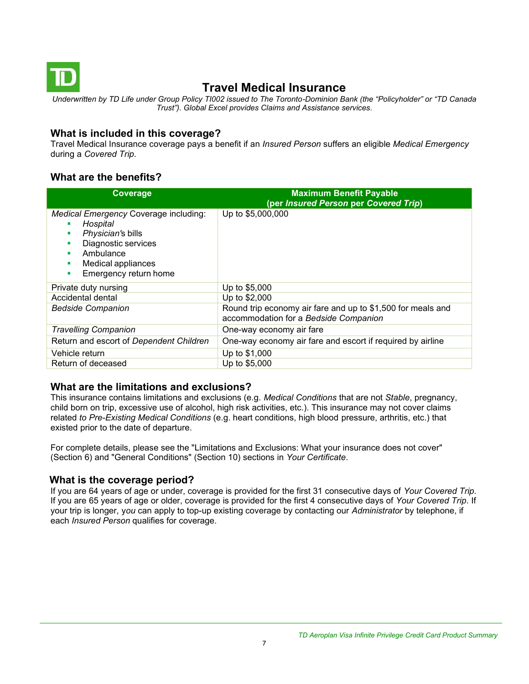<span id="page-6-0"></span>

## **Travel Medical Insurance**

*Underwritten by TD Life under Group Policy TI002 issued to The Toronto-Dominion Bank (the "Policyholder" or "TD Canada Trust"). Global Excel provides Claims and Assistance services.*

#### **What is included in this coverage?**

Travel Medical Insurance coverage pays a benefit if an *Insured Person* suffers an eligible *Medical Emergency*  during a *Covered Trip*.

### **What are the benefits?**

| Coverage                                                                                                                                                                 | <b>Maximum Benefit Payable</b><br>(per Insured Person per Covered Trip)                              |
|--------------------------------------------------------------------------------------------------------------------------------------------------------------------------|------------------------------------------------------------------------------------------------------|
| Medical Emergency Coverage including:<br>Hospital<br>Physician's bills<br>п<br>Diagnostic services<br>Ambulance<br>Medical appliances<br>٠<br>Emergency return home<br>٠ | Up to \$5,000,000                                                                                    |
| Private duty nursing                                                                                                                                                     | Up to \$5,000                                                                                        |
| Accidental dental                                                                                                                                                        | Up to \$2,000                                                                                        |
| <b>Bedside Companion</b>                                                                                                                                                 | Round trip economy air fare and up to \$1,500 for meals and<br>accommodation for a Bedside Companion |
| <b>Travelling Companion</b>                                                                                                                                              | One-way economy air fare                                                                             |
| Return and escort of Dependent Children                                                                                                                                  | One-way economy air fare and escort if required by airline                                           |
| Vehicle return                                                                                                                                                           | Up to \$1,000                                                                                        |
| Return of deceased                                                                                                                                                       | Up to \$5,000                                                                                        |

### **What are the limitations and exclusions?**

This insurance contains limitations and exclusions (e.g. *Medical Conditions* that are not *Stable*, pregnancy, child born on trip, excessive use of alcohol, high risk activities, etc.). This insurance may not cover claims related *to Pre-Existing Medical Conditions* (e.g. heart conditions, high blood pressure, arthritis, etc.) that existed prior to the date of departure.

For complete details, please see the "Limitations and Exclusions: What your insurance does not cover" (Section 6) and "General Conditions" (Section 10) sections in *Your Certificate*.

#### **What is the coverage period?**

If you are 64 years of age or under, coverage is provided for the first 31 consecutive days of *Your Covered Trip*. If you are 65 years of age or older, coverage is provided for the first 4 consecutive days of *Your Covered Trip*. If your trip is longer, y*ou* can apply to top-up existing coverage by contacting our *Administrator* by telephone, if each *Insured Person* qualifies for coverage.